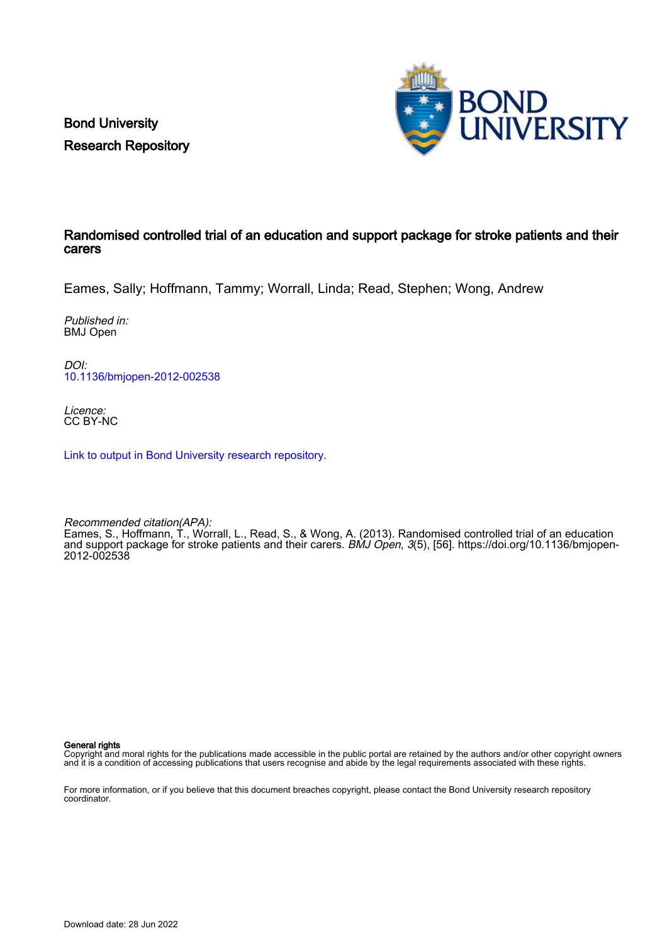Bond University Research Repository



# Randomised controlled trial of an education and support package for stroke patients and their carers

Eames, Sally; Hoffmann, Tammy; Worrall, Linda; Read, Stephen; Wong, Andrew

Published in: BMJ Open

DOI: [10.1136/bmjopen-2012-002538](https://doi.org/10.1136/bmjopen-2012-002538)

Licence: CC BY-NC

[Link to output in Bond University research repository.](https://research.bond.edu.au/en/publications/c71f0d7e-e823-43d8-b27d-38a5445ff612)

Recommended citation(APA): Eames, S., Hoffmann, T., Worrall, L., Read, S., & Wong, A. (2013). Randomised controlled trial of an education and support package for stroke patients and their carers. BMJ Open, 3(5), [56]. [https://doi.org/10.1136/bmjopen-](https://doi.org/10.1136/bmjopen-2012-002538)[2012-002538](https://doi.org/10.1136/bmjopen-2012-002538)

General rights

Copyright and moral rights for the publications made accessible in the public portal are retained by the authors and/or other copyright owners and it is a condition of accessing publications that users recognise and abide by the legal requirements associated with these rights.

For more information, or if you believe that this document breaches copyright, please contact the Bond University research repository coordinator.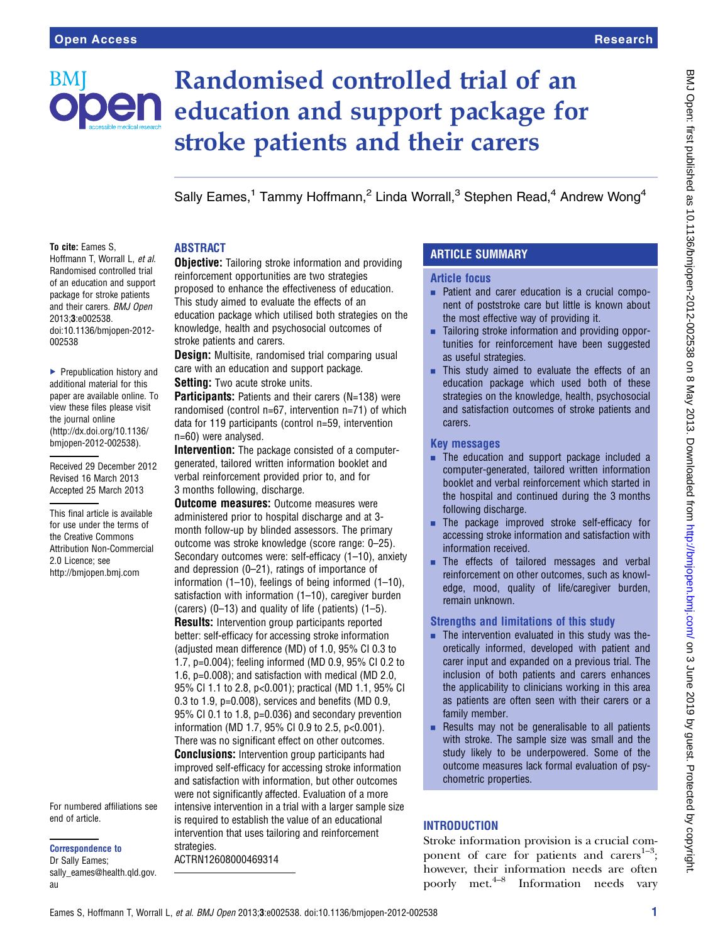**BM** 

# Randomised controlled trial of an **Den** education and support package for stroke patients and their carers

Sally Eames,<sup>1</sup> Tammy Hoffmann,<sup>2</sup> Linda Worrall,<sup>3</sup> Stephen Read,<sup>4</sup> Andrew Wong<sup>4</sup>

# ABSTRACT

To cite: Eames S, Hoffmann T, Worrall L, et al. Randomised controlled trial of an education and support package for stroke patients and their carers. BMJ Open 2013;3:e002538. doi:10.1136/bmjopen-2012- 002538

▶ Prepublication history and additional material for this paper are available online. To view these files please visit the journal online [\(http://dx.doi.org/10.1136/](http://dx.doi.org/10.1136/bmjopen-2012-002538) [bmjopen-2012-002538](http://dx.doi.org/10.1136/bmjopen-2012-002538)).

Received 29 December 2012 Revised 16 March 2013 Accepted 25 March 2013

This final article is available for use under the terms of the Creative Commons Attribution Non-Commercial 2.0 Licence; see <http://bmjopen.bmj.com>

For numbered affiliations see end of article.

Correspondence to

Dr Sally Eames; sally\_eames@health.qld.gov. au

**Objective:** Tailoring stroke information and providing reinforcement opportunities are two strategies proposed to enhance the effectiveness of education. This study aimed to evaluate the effects of an education package which utilised both strategies on the knowledge, health and psychosocial outcomes of stroke patients and carers.

**Design:** Multisite, randomised trial comparing usual care with an education and support package.

**Setting:** Two acute stroke units.

**Participants:** Patients and their carers (N=138) were randomised (control n=67, intervention n=71) of which data for 119 participants (control n=59, intervention n=60) were analysed.

Intervention: The package consisted of a computergenerated, tailored written information booklet and verbal reinforcement provided prior to, and for 3 months following, discharge.

**Outcome measures:** Outcome measures were administered prior to hospital discharge and at 3 month follow-up by blinded assessors. The primary outcome was stroke knowledge (score range: 0–25). Secondary outcomes were: self-efficacy (1–10), anxiety and depression (0–21), ratings of importance of information (1–10), feelings of being informed (1–10), satisfaction with information (1-10), caregiver burden (carers) (0–13) and quality of life ( patients) (1–5). Results: Intervention group participants reported better: self-efficacy for accessing stroke information (adjusted mean difference (MD) of 1.0, 95% CI 0.3 to 1.7, p=0.004); feeling informed (MD 0.9, 95% CI 0.2 to 1.6, p=0.008); and satisfaction with medical (MD 2.0, 95% CI 1.1 to 2.8, p<0.001); practical (MD 1.1, 95% CI 0.3 to 1.9, p=0.008), services and benefits (MD 0.9, 95% CI 0.1 to 1.8, p=0.036) and secondary prevention information (MD 1.7, 95% CI 0.9 to 2.5, p<0.001). There was no significant effect on other outcomes.

**Conclusions:** Intervention group participants had improved self-efficacy for accessing stroke information and satisfaction with information, but other outcomes were not significantly affected. Evaluation of a more intensive intervention in a trial with a larger sample size is required to establish the value of an educational intervention that uses tailoring and reinforcement strategies. ACTRN12608000469314

# ARTICLE SUMMARY

# Article focus

- Patient and carer education is a crucial component of poststroke care but little is known about the most effective way of providing it.
- Tailoring stroke information and providing opportunities for reinforcement have been suggested as useful strategies.
- $\blacksquare$  This study aimed to evaluate the effects of an education package which used both of these strategies on the knowledge, health, psychosocial and satisfaction outcomes of stroke patients and carers.

# Key messages

- The education and support package included a computer-generated, tailored written information booklet and verbal reinforcement which started in the hospital and continued during the 3 months following discharge.
- **EXECUTE:** The package improved stroke self-efficacy for accessing stroke information and satisfaction with information received.
- $\blacksquare$  The effects of tailored messages and verbal reinforcement on other outcomes, such as knowledge, mood, quality of life/caregiver burden, remain unknown.

# Strengths and limitations of this study

- $\blacksquare$  The intervention evaluated in this study was theoretically informed, developed with patient and carer input and expanded on a previous trial. The inclusion of both patients and carers enhances the applicability to clinicians working in this area as patients are often seen with their carers or a family member.
- $\blacksquare$  Results may not be generalisable to all patients with stroke. The sample size was small and the study likely to be underpowered. Some of the outcome measures lack formal evaluation of psychometric properties.

# INTRODUCTION

Stroke information provision is a crucial component of care for patients and carers $1-3$ ; however, their information needs are often poorly met. $4-8$  Information needs vary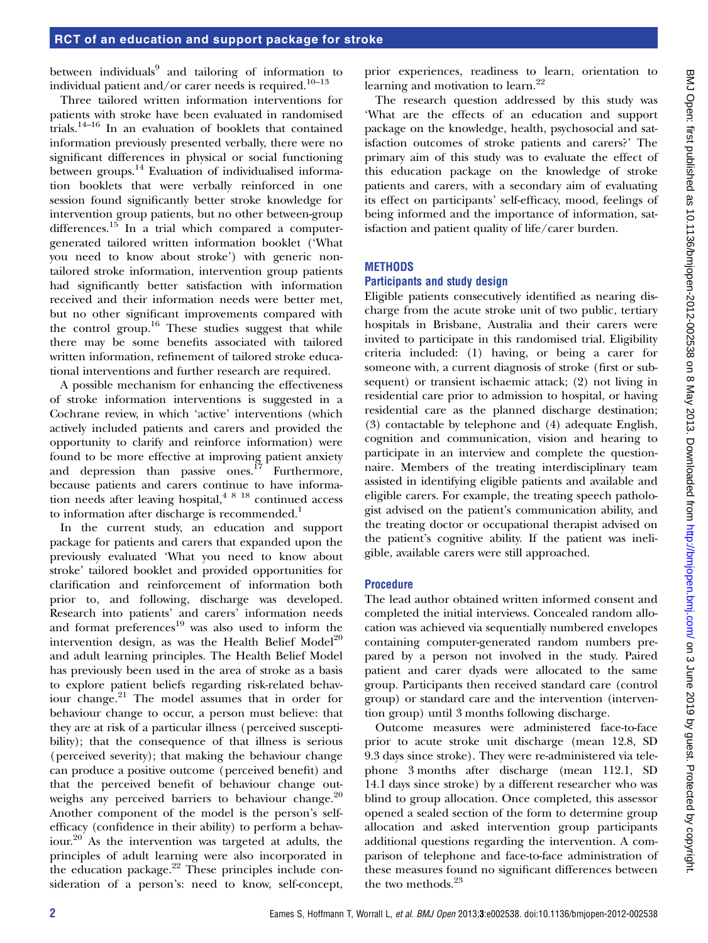between individuals<sup>9</sup> and tailoring of information to individual patient and/or carer needs is required.<sup>10–13</sup>

Three tailored written information interventions for patients with stroke have been evaluated in randomised trials.14–<sup>16</sup> In an evaluation of booklets that contained information previously presented verbally, there were no significant differences in physical or social functioning between groups.<sup>14</sup> Evaluation of individualised information booklets that were verbally reinforced in one session found significantly better stroke knowledge for intervention group patients, but no other between-group differences. $15$  In a trial which compared a computergenerated tailored written information booklet ('What you need to know about stroke') with generic nontailored stroke information, intervention group patients had significantly better satisfaction with information received and their information needs were better met, but no other significant improvements compared with the control group.<sup>16</sup> These studies suggest that while there may be some benefits associated with tailored written information, refinement of tailored stroke educational interventions and further research are required.

A possible mechanism for enhancing the effectiveness of stroke information interventions is suggested in a Cochrane review, in which 'active' interventions (which actively included patients and carers and provided the opportunity to clarify and reinforce information) were found to be more effective at improving patient anxiety and depression than passive ones.<sup>17</sup> Furthermore, because patients and carers continue to have information needs after leaving hospital, $4818$  continued access to information after discharge is recommended.<sup>1</sup>

In the current study, an education and support package for patients and carers that expanded upon the previously evaluated 'What you need to know about stroke' tailored booklet and provided opportunities for clarification and reinforcement of information both prior to, and following, discharge was developed. Research into patients' and carers' information needs and format  $preferences<sup>19</sup>$  was also used to inform the intervention design, as was the Health Belief Model<sup>20</sup> and adult learning principles. The Health Belief Model has previously been used in the area of stroke as a basis to explore patient beliefs regarding risk-related behaviour change.<sup>21</sup> The model assumes that in order for behaviour change to occur, a person must believe: that they are at risk of a particular illness (perceived susceptibility); that the consequence of that illness is serious (perceived severity); that making the behaviour change can produce a positive outcome (perceived benefit) and that the perceived benefit of behaviour change outweighs any perceived barriers to behaviour change.<sup>20</sup> Another component of the model is the person's selfefficacy (confidence in their ability) to perform a behaviour.20 As the intervention was targeted at adults, the principles of adult learning were also incorporated in the education package. $22$  These principles include consideration of a person's: need to know, self-concept,

prior experiences, readiness to learn, orientation to learning and motivation to learn.<sup>22</sup>

The research question addressed by this study was 'What are the effects of an education and support package on the knowledge, health, psychosocial and satisfaction outcomes of stroke patients and carers?' The primary aim of this study was to evaluate the effect of this education package on the knowledge of stroke patients and carers, with a secondary aim of evaluating its effect on participants' self-efficacy, mood, feelings of being informed and the importance of information, satisfaction and patient quality of life/carer burden.

#### **METHODS**

#### Participants and study design

Eligible patients consecutively identified as nearing discharge from the acute stroke unit of two public, tertiary hospitals in Brisbane, Australia and their carers were invited to participate in this randomised trial. Eligibility criteria included: (1) having, or being a carer for someone with, a current diagnosis of stroke (first or subsequent) or transient ischaemic attack; (2) not living in residential care prior to admission to hospital, or having residential care as the planned discharge destination; (3) contactable by telephone and (4) adequate English, cognition and communication, vision and hearing to participate in an interview and complete the questionnaire. Members of the treating interdisciplinary team assisted in identifying eligible patients and available and eligible carers. For example, the treating speech pathologist advised on the patient's communication ability, and the treating doctor or occupational therapist advised on the patient's cognitive ability. If the patient was ineligible, available carers were still approached.

## Procedure

The lead author obtained written informed consent and completed the initial interviews. Concealed random allocation was achieved via sequentially numbered envelopes containing computer-generated random numbers prepared by a person not involved in the study. Paired patient and carer dyads were allocated to the same group. Participants then received standard care (control group) or standard care and the intervention (intervention group) until 3 months following discharge.

Outcome measures were administered face-to-face prior to acute stroke unit discharge (mean 12.8, SD 9.3 days since stroke). They were re-administered via telephone 3 months after discharge (mean 112.1, SD 14.1 days since stroke) by a different researcher who was blind to group allocation. Once completed, this assessor opened a sealed section of the form to determine group allocation and asked intervention group participants additional questions regarding the intervention. A comparison of telephone and face-to-face administration of these measures found no significant differences between the two methods.<sup>23</sup>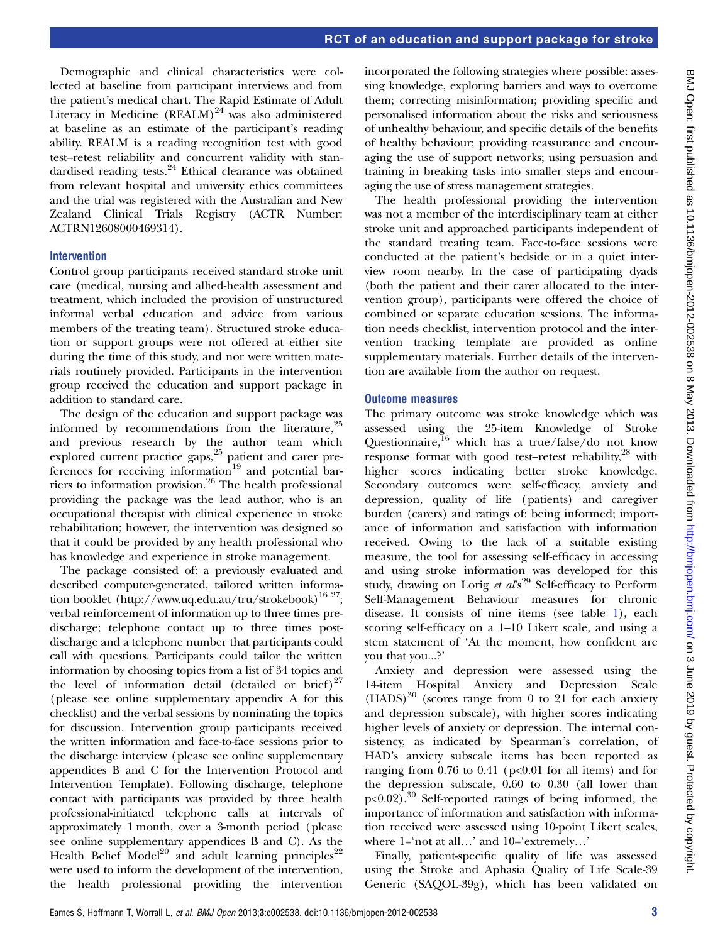Demographic and clinical characteristics were collected at baseline from participant interviews and from the patient's medical chart. The Rapid Estimate of Adult Literacy in Medicine  $(REALM)^{24}$  was also administered at baseline as an estimate of the participant's reading ability. REALM is a reading recognition test with good test–retest reliability and concurrent validity with standardised reading tests.<sup>24</sup> Ethical clearance was obtained from relevant hospital and university ethics committees and the trial was registered with the Australian and New Zealand Clinical Trials Registry (ACTR Number: ACTRN12608000469314).

#### Intervention

Control group participants received standard stroke unit care (medical, nursing and allied-health assessment and treatment, which included the provision of unstructured informal verbal education and advice from various members of the treating team). Structured stroke education or support groups were not offered at either site during the time of this study, and nor were written materials routinely provided. Participants in the intervention group received the education and support package in addition to standard care.

The design of the education and support package was informed by recommendations from the literature, $25$ and previous research by the author team which explored current practice gaps,<sup>25</sup> patient and carer preferences for receiving information<sup>19</sup> and potential barriers to information provision.<sup>26</sup> The health professional providing the package was the lead author, who is an occupational therapist with clinical experience in stroke rehabilitation; however, the intervention was designed so that it could be provided by any health professional who has knowledge and experience in stroke management.

The package consisted of: a previously evaluated and described computer-generated, tailored written informa-tion booklet [\(http://www.uq.edu.au/tru/strokebook\)](http://www.uq.edu.au/tru/strokebook)<sup>16 27</sup>; verbal reinforcement of information up to three times predischarge; telephone contact up to three times postdischarge and a telephone number that participants could call with questions. Participants could tailor the written information by choosing topics from a list of 34 topics and the level of information detail (detailed or brief) $27$ (please see online supplementary appendix A for this checklist) and the verbal sessions by nominating the topics for discussion. Intervention group participants received the written information and face-to-face sessions prior to the discharge interview (please see online supplementary appendices B and C for the Intervention Protocol and Intervention Template). Following discharge, telephone contact with participants was provided by three health professional-initiated telephone calls at intervals of approximately 1 month, over a 3-month period (please see online supplementary appendices B and C). As the Health Belief Model<sup>20</sup> and adult learning principles<sup>22</sup> were used to inform the development of the intervention, the health professional providing the intervention incorporated the following strategies where possible: assessing knowledge, exploring barriers and ways to overcome them; correcting misinformation; providing specific and personalised information about the risks and seriousness of unhealthy behaviour, and specific details of the benefits of healthy behaviour; providing reassurance and encouraging the use of support networks; using persuasion and training in breaking tasks into smaller steps and encouraging the use of stress management strategies.

The health professional providing the intervention was not a member of the interdisciplinary team at either stroke unit and approached participants independent of the standard treating team. Face-to-face sessions were conducted at the patient's bedside or in a quiet interview room nearby. In the case of participating dyads (both the patient and their carer allocated to the intervention group), participants were offered the choice of combined or separate education sessions. The information needs checklist, intervention protocol and the intervention tracking template are provided as online [supplementary materials](http://bmjopen.bmj.com/lookup/suppl/doi:10.1136/bmjopen-2012-002538/-/DC1). Further details of the intervention are available from the author on request.

#### Outcome measures

The primary outcome was stroke knowledge which was assessed using the 25-item Knowledge of Stroke Questionnaire,<sup>16</sup> which has a true/false/do not know response format with good test–retest reliability,<sup>28</sup> with higher scores indicating better stroke knowledge. Secondary outcomes were self-efficacy, anxiety and depression, quality of life (patients) and caregiver burden (carers) and ratings of: being informed; importance of information and satisfaction with information received. Owing to the lack of a suitable existing measure, the tool for assessing self-efficacy in accessing and using stroke information was developed for this study, drawing on Lorig et al's<sup>29</sup> Self-efficacy to Perform Self-Management Behaviour measures for chronic disease. It consists of nine items (see table 1), each scoring self-efficacy on a 1–10 Likert scale, and using a stem statement of 'At the moment, how confident are you that you...?'

Anxiety and depression were assessed using the 14-item Hospital Anxiety and Depression Scale  $(HADS)^{30}$  (scores range from 0 to 21 for each anxiety and depression subscale), with higher scores indicating higher levels of anxiety or depression. The internal consistency, as indicated by Spearman's correlation, of HAD's anxiety subscale items has been reported as ranging from  $0.76$  to  $0.41$  ( $p<0.01$  for all items) and for the depression subscale, 0.60 to 0.30 (all lower than  $p<0.02$ ).<sup>30</sup> Self-reported ratings of being informed, the importance of information and satisfaction with information received were assessed using 10-point Likert scales, where 1='not at all…' and 10='extremely…'

Finally, patient-specific quality of life was assessed using the Stroke and Aphasia Quality of Life Scale-39 Generic (SAQOL-39g), which has been validated on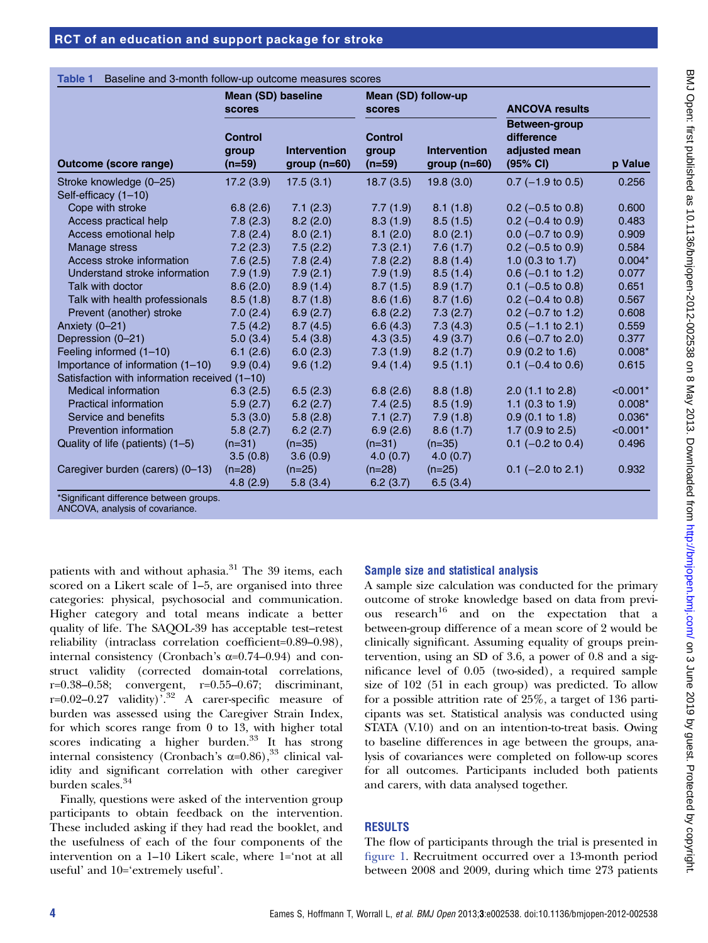|                                               | Mean (SD) baseline<br><b>scores</b> |                                       | Mean (SD) follow-up<br><b>scores</b> |                                      | <b>ANCOVA results</b>                                    |            |
|-----------------------------------------------|-------------------------------------|---------------------------------------|--------------------------------------|--------------------------------------|----------------------------------------------------------|------------|
| <b>Outcome (score range)</b>                  | <b>Control</b><br>group<br>$(n=59)$ | <b>Intervention</b><br>group $(n=60)$ | <b>Control</b><br>group<br>$(n=59)$  | <b>Intervention</b><br>$group(n=60)$ | Between-group<br>difference<br>adjusted mean<br>(95% CI) | p Value    |
| Stroke knowledge (0-25)                       | 17.2(3.9)                           | 17.5(3.1)                             | 18.7(3.5)                            | 19.8(3.0)                            | $0.7$ (-1.9 to 0.5)                                      | 0.256      |
| Self-efficacy (1-10)                          |                                     |                                       |                                      |                                      |                                                          |            |
| Cope with stroke                              | 6.8(2.6)                            | 7.1(2.3)                              | 7.7(1.9)                             | 8.1(1.8)                             | $0.2$ (-0.5 to 0.8)                                      | 0.600      |
| Access practical help                         | 7.8(2.3)                            | 8.2(2.0)                              | 8.3(1.9)                             | 8.5(1.5)                             | $0.2$ (-0.4 to 0.9)                                      | 0.483      |
| Access emotional help                         | 7.8(2.4)                            | 8.0(2.1)                              | 8.1(2.0)                             | 8.0(2.1)                             | $0.0$ (-0.7 to 0.9)                                      | 0.909      |
| Manage stress                                 | 7.2(2.3)                            | 7.5(2.2)                              | 7.3(2.1)                             | 7.6(1.7)                             | $0.2$ (-0.5 to 0.9)                                      | 0.584      |
| Access stroke information                     | 7.6(2.5)                            | 7.8(2.4)                              | 7.8(2.2)                             | 8.8(1.4)                             | 1.0 $(0.3$ to 1.7)                                       | $0.004*$   |
| Understand stroke information                 | 7.9(1.9)                            | 7.9(2.1)                              | 7.9(1.9)                             | 8.5(1.4)                             | $0.6$ (-0.1 to 1.2)                                      | 0.077      |
| Talk with doctor                              | 8.6(2.0)                            | 8.9(1.4)                              | 8.7(1.5)                             | 8.9(1.7)                             | $0.1$ (-0.5 to 0.8)                                      | 0.651      |
| Talk with health professionals                | 8.5(1.8)                            | 8.7(1.8)                              | 8.6(1.6)                             | 8.7(1.6)                             | $0.2$ (-0.4 to 0.8)                                      | 0.567      |
| Prevent (another) stroke                      | 7.0(2.4)                            | 6.9(2.7)                              | 6.8(2.2)                             | 7.3(2.7)                             | $0.2$ (-0.7 to 1.2)                                      | 0.608      |
| Anxiety (0-21)                                | 7.5(4.2)                            | 8.7(4.5)                              | 6.6(4.3)                             | 7.3(4.3)                             | $0.5$ (-1.1 to 2.1)                                      | 0.559      |
| Depression (0-21)                             | 5.0(3.4)                            | 5.4(3.8)                              | 4.3(3.5)                             | 4.9(3.7)                             | $0.6$ (-0.7 to 2.0)                                      | 0.377      |
| Feeling informed (1-10)                       | 6.1(2.6)                            | 6.0(2.3)                              | 7.3(1.9)                             | 8.2(1.7)                             | $0.9$ (0.2 to 1.6)                                       | $0.008*$   |
| Importance of information (1-10)              | 9.9(0.4)                            | 9.6(1.2)                              | 9.4(1.4)                             | 9.5(1.1)                             | $0.1$ (-0.4 to 0.6)                                      | 0.615      |
| Satisfaction with information received (1-10) |                                     |                                       |                                      |                                      |                                                          |            |
| Medical information                           | 6.3(2.5)                            | 6.5(2.3)                              | 6.8(2.6)                             | 8.8(1.8)                             | $2.0$ (1.1 to 2.8)                                       | $< 0.001*$ |
| <b>Practical information</b>                  | 5.9(2.7)                            | 6.2(2.7)                              | 7.4(2.5)                             | 8.5(1.9)                             | 1.1 $(0.3 \text{ to } 1.9)$                              | $0.008*$   |
| Service and benefits                          | 5.3(3.0)                            | 5.8(2.8)                              | 7.1(2.7)                             | 7.9(1.8)                             | $0.9(0.1 \text{ to } 1.8)$                               | $0.036*$   |
| Prevention information                        | 5.8(2.7)                            | 6.2(2.7)                              | 6.9(2.6)                             | 8.6(1.7)                             | 1.7 $(0.9 \text{ to } 2.5)$                              | $< 0.001*$ |
| Quality of life (patients) (1-5)              | $(n=31)$                            | $(n=35)$                              | $(n=31)$                             | $(n=35)$                             | $0.1$ (-0.2 to 0.4)                                      | 0.496      |
|                                               | 3.5(0.8)                            | 3.6(0.9)                              | 4.0(0.7)                             | 4.0(0.7)                             |                                                          |            |
| Caregiver burden (carers) (0-13)              | $(n=28)$                            | $(n=25)$                              | $(n=28)$                             | $(n=25)$                             | $0.1$ (-2.0 to 2.1)                                      | 0.932      |
|                                               | 4.8(2.9)                            | 5.8(3.4)                              | 6.2(3.7)                             | 6.5(3.4)                             |                                                          |            |

Table 1 Baseline and 3-month follow-up outcome measures scores

Significant difference between groups.

ANCOVA, analysis of covariance.

patients with and without aphasia.<sup>31</sup> The 39 items, each scored on a Likert scale of 1–5, are organised into three categories: physical, psychosocial and communication. Higher category and total means indicate a better quality of life. The SAQOL-39 has acceptable test–retest reliability (intraclass correlation coefficient=0.89–0.98), internal consistency (Cronbach's  $\alpha$ =0.74–0.94) and construct validity (corrected domain-total correlations, r=0.38–0.58; convergent, r=0.55–0.67; discriminant,  $r=0.02-0.27$  validity)<sup>532</sup> A carer-specific measure of burden was assessed using the Caregiver Strain Index, for which scores range from 0 to 13, with higher total scores indicating a higher burden. $33$  It has strong internal consistency (Cronbach's  $\alpha=0.86$ ),<sup>33</sup> clinical validity and significant correlation with other caregiver burden scales.<sup>34</sup>

Finally, questions were asked of the intervention group participants to obtain feedback on the intervention. These included asking if they had read the booklet, and the usefulness of each of the four components of the intervention on a 1–10 Likert scale, where 1='not at all useful' and 10='extremely useful'.

## Sample size and statistical analysis

A sample size calculation was conducted for the primary outcome of stroke knowledge based on data from previous research<sup>16</sup> and on the expectation that a between-group difference of a mean score of 2 would be clinically significant. Assuming equality of groups preintervention, using an SD of 3.6, a power of 0.8 and a significance level of 0.05 (two-sided), a required sample size of 102 (51 in each group) was predicted. To allow for a possible attrition rate of 25%, a target of 136 participants was set. Statistical analysis was conducted using STATA (V.10) and on an intention-to-treat basis. Owing to baseline differences in age between the groups, analysis of covariances were completed on follow-up scores for all outcomes. Participants included both patients and carers, with data analysed together.

# RESULTS

The flow of participants through the trial is presented in figure 1. Recruitment occurred over a 13-month period between 2008 and 2009, during which time 273 patients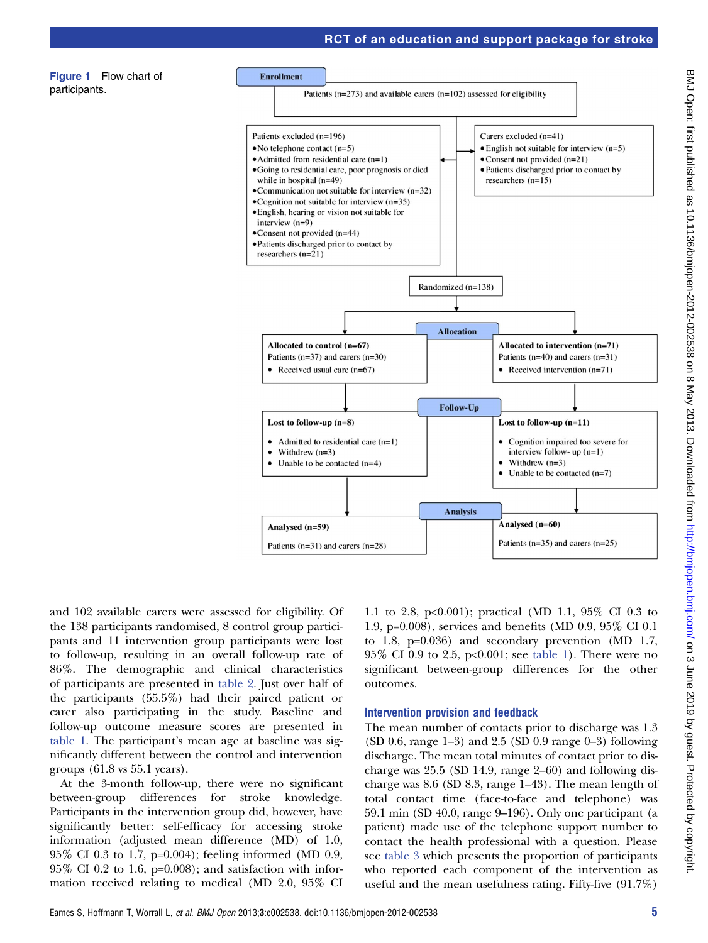

and 102 available carers were assessed for eligibility. Of the 138 participants randomised, 8 control group participants and 11 intervention group participants were lost to follow-up, resulting in an overall follow-up rate of 86%. The demographic and clinical characteristics of participants are presented in table 2. Just over half of the participants (55.5%) had their paired patient or carer also participating in the study. Baseline and follow-up outcome measure scores are presented in table 1. The participant's mean age at baseline was significantly different between the control and intervention groups (61.8 vs 55.1 years).

At the 3-month follow-up, there were no significant between-group differences for stroke knowledge. Participants in the intervention group did, however, have significantly better: self-efficacy for accessing stroke information (adjusted mean difference (MD) of 1.0, 95% CI 0.3 to 1.7, p=0.004); feeling informed (MD 0.9, 95% CI 0.2 to 1.6, p=0.008); and satisfaction with information received relating to medical (MD 2.0, 95% CI

1.1 to 2.8, p<0.001); practical (MD 1.1, 95% CI 0.3 to 1.9, p=0.008), services and benefits (MD 0.9, 95% CI 0.1 to 1.8, p=0.036) and secondary prevention (MD 1.7, 95% CI 0.9 to 2.5, p<0.001; see table 1). There were no significant between-group differences for the other outcomes.

# Intervention provision and feedback

The mean number of contacts prior to discharge was 1.3 (SD 0.6, range 1–3) and 2.5 (SD 0.9 range 0–3) following discharge. The mean total minutes of contact prior to discharge was 25.5 (SD 14.9, range 2–60) and following discharge was 8.6 (SD 8.3, range 1–43). The mean length of total contact time ( face-to-face and telephone) was 59.1 min (SD 40.0, range 9–196). Only one participant (a patient) made use of the telephone support number to contact the health professional with a question. Please see table 3 which presents the proportion of participants who reported each component of the intervention as useful and the mean usefulness rating. Fifty-five (91.7%)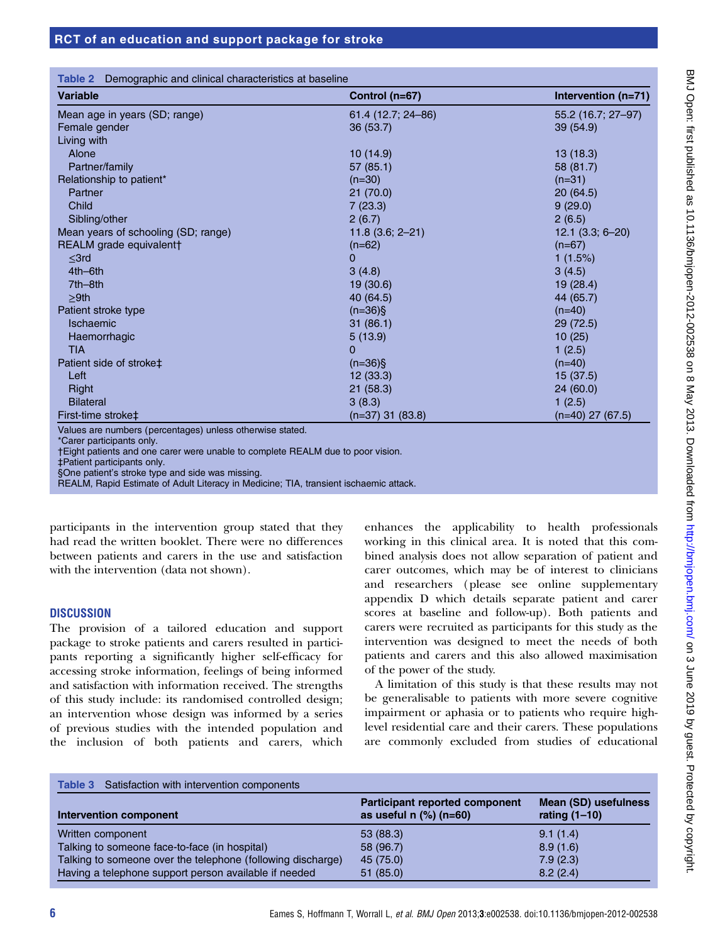| <b>Variable</b>                     | Control $(n=67)$   | Intervention (n=71) |
|-------------------------------------|--------------------|---------------------|
| Mean age in years (SD; range)       | 61.4 (12.7; 24–86) | 55.2 (16.7; 27–97)  |
| Female gender                       | 36(53.7)           | 39(54.9)            |
| Living with                         |                    |                     |
| Alone                               | 10 (14.9)          | 13(18.3)            |
| Partner/family                      | 57(85.1)           | 58 (81.7)           |
| Relationship to patient*            | $(n=30)$           | $(n=31)$            |
| Partner                             | 21(70.0)           | 20(64.5)            |
| Child                               | 7(23.3)            | 9(29.0)             |
| Sibling/other                       | 2(6.7)             | 2(6.5)              |
| Mean years of schooling (SD; range) | $11.8(3.6; 2-21)$  | $12.1$ (3.3; 6-20)  |
| REALM grade equivalent†             | $(n=62)$           | $(n=67)$            |
| $\leq$ 3rd                          | 0                  | 1(1.5%)             |
| 4th-6th                             | 3(4.8)             | 3(4.5)              |
| $7th$ -8th                          | 19 (30.6)          | 19(28.4)            |
| >9th                                | 40 (64.5)          | 44 (65.7)           |
| Patient stroke type                 | $(n=36)$ §         | $(n=40)$            |
| <b>Ischaemic</b>                    | 31(86.1)           | 29 (72.5)           |
| Haemorrhagic                        | 5(13.9)            | 10(25)              |
| <b>TIA</b>                          | 0                  | 1(2.5)              |
| Patient side of stroke <sup>+</sup> | $(n=36)$ §         | $(n=40)$            |

Left 12 (33.3) 15 (37.5) Right 21 (58.3) 24 (60.0) Bilateral  $3 \ (8.3)$  1 (2.5) First-time stroke‡ (n=37) 31 (83.8) (n=40) 27 (67.5)

Values are numbers (percentages) unless otherwise stated.

\*Carer participants only.

†Eight patients and one carer were unable to complete REALM due to poor vision.

‡Patient participants only.

§One patient's stroke type and side was missing.

REALM, Rapid Estimate of Adult Literacy in Medicine; TIA, transient ischaemic attack.

participants in the intervention group stated that they had read the written booklet. There were no differences between patients and carers in the use and satisfaction with the intervention (data not shown).

## **DISCUSSION**

The provision of a tailored education and support package to stroke patients and carers resulted in participants reporting a significantly higher self-efficacy for accessing stroke information, feelings of being informed and satisfaction with information received. The strengths of this study include: its randomised controlled design; an intervention whose design was informed by a series of previous studies with the intended population and the inclusion of both patients and carers, which

enhances the applicability to health professionals working in this clinical area. It is noted that this combined analysis does not allow separation of patient and carer outcomes, which may be of interest to clinicians and researchers (please see online supplementary appendix D which details separate patient and carer scores at baseline and follow-up). Both patients and carers were recruited as participants for this study as the intervention was designed to meet the needs of both patients and carers and this also allowed maximisation of the power of the study.

A limitation of this study is that these results may not be generalisable to patients with more severe cognitive impairment or aphasia or to patients who require highlevel residential care and their carers. These populations are commonly excluded from studies of educational

| <b>Table 3</b> Satisfaction with intervention components    |                                                                        |                                         |  |  |  |  |
|-------------------------------------------------------------|------------------------------------------------------------------------|-----------------------------------------|--|--|--|--|
| Intervention component                                      | Participant reported component<br>as useful $n$ $\frac{9}{6}$ $(n=60)$ | Mean (SD) usefulness<br>rating $(1-10)$ |  |  |  |  |
| Written component                                           | 53(88.3)                                                               | 9.1(1.4)                                |  |  |  |  |
| Talking to someone face-to-face (in hospital)               | 58 (96.7)                                                              | 8.9(1.6)                                |  |  |  |  |
| Talking to someone over the telephone (following discharge) | 45 (75.0)                                                              | 7.9(2.3)                                |  |  |  |  |
| Having a telephone support person available if needed       | 51(85.0)                                                               | 8.2(2.4)                                |  |  |  |  |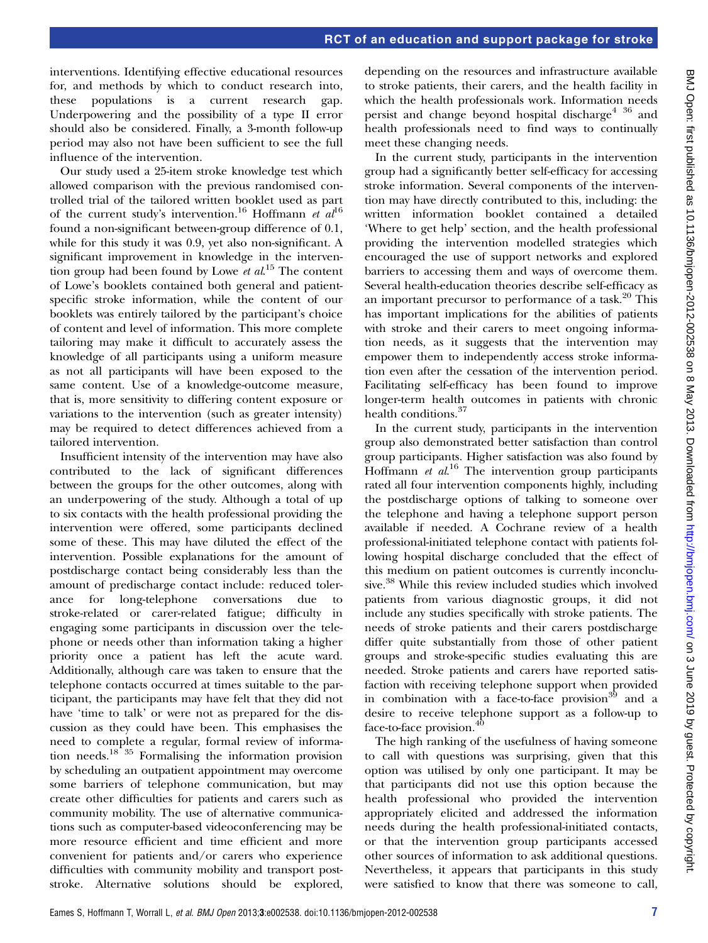interventions. Identifying effective educational resources for, and methods by which to conduct research into, these populations is a current research gap. Underpowering and the possibility of a type II error should also be considered. Finally, a 3-month follow-up period may also not have been sufficient to see the full influence of the intervention.

Our study used a 25-item stroke knowledge test which allowed comparison with the previous randomised controlled trial of the tailored written booklet used as part of the current study's intervention.<sup>16</sup> Hoffmann et  $a l^{16}$ found a non-significant between-group difference of 0.1, while for this study it was 0.9, yet also non-significant. A significant improvement in knowledge in the intervention group had been found by Lowe et  $al$ <sup>15</sup> The content of Lowe's booklets contained both general and patientspecific stroke information, while the content of our booklets was entirely tailored by the participant's choice of content and level of information. This more complete tailoring may make it difficult to accurately assess the knowledge of all participants using a uniform measure as not all participants will have been exposed to the same content. Use of a knowledge-outcome measure, that is, more sensitivity to differing content exposure or variations to the intervention (such as greater intensity) may be required to detect differences achieved from a tailored intervention.

Insufficient intensity of the intervention may have also contributed to the lack of significant differences between the groups for the other outcomes, along with an underpowering of the study. Although a total of up to six contacts with the health professional providing the intervention were offered, some participants declined some of these. This may have diluted the effect of the intervention. Possible explanations for the amount of postdischarge contact being considerably less than the amount of predischarge contact include: reduced tolerance for long-telephone conversations due to stroke-related or carer-related fatigue; difficulty in engaging some participants in discussion over the telephone or needs other than information taking a higher priority once a patient has left the acute ward. Additionally, although care was taken to ensure that the telephone contacts occurred at times suitable to the participant, the participants may have felt that they did not have 'time to talk' or were not as prepared for the discussion as they could have been. This emphasises the need to complete a regular, formal review of information needs. $18^{\degree}35$  Formalising the information provision by scheduling an outpatient appointment may overcome some barriers of telephone communication, but may create other difficulties for patients and carers such as community mobility. The use of alternative communications such as computer-based videoconferencing may be more resource efficient and time efficient and more convenient for patients and/or carers who experience difficulties with community mobility and transport poststroke. Alternative solutions should be explored, depending on the resources and infrastructure available to stroke patients, their carers, and the health facility in which the health professionals work. Information needs persist and change beyond hospital discharge<sup>4 36</sup> and health professionals need to find ways to continually meet these changing needs.

In the current study, participants in the intervention group had a significantly better self-efficacy for accessing stroke information. Several components of the intervention may have directly contributed to this, including: the written information booklet contained a detailed 'Where to get help' section, and the health professional providing the intervention modelled strategies which encouraged the use of support networks and explored barriers to accessing them and ways of overcome them. Several health-education theories describe self-efficacy as an important precursor to performance of a task. $20$  This has important implications for the abilities of patients with stroke and their carers to meet ongoing information needs, as it suggests that the intervention may empower them to independently access stroke information even after the cessation of the intervention period. Facilitating self-efficacy has been found to improve longer-term health outcomes in patients with chronic health conditions.<sup>37</sup>

In the current study, participants in the intervention group also demonstrated better satisfaction than control group participants. Higher satisfaction was also found by Hoffmann et al.<sup>16</sup> The intervention group participants rated all four intervention components highly, including the postdischarge options of talking to someone over the telephone and having a telephone support person available if needed. A Cochrane review of a health professional-initiated telephone contact with patients following hospital discharge concluded that the effect of this medium on patient outcomes is currently inconclusive.<sup>38</sup> While this review included studies which involved patients from various diagnostic groups, it did not include any studies specifically with stroke patients. The needs of stroke patients and their carers postdischarge differ quite substantially from those of other patient groups and stroke-specific studies evaluating this are needed. Stroke patients and carers have reported satisfaction with receiving telephone support when provided in combination with a face-to-face provision $39$  and a desire to receive telephone support as a follow-up to face-to-face provision.<sup>40</sup>

The high ranking of the usefulness of having someone to call with questions was surprising, given that this option was utilised by only one participant. It may be that participants did not use this option because the health professional who provided the intervention appropriately elicited and addressed the information needs during the health professional-initiated contacts, or that the intervention group participants accessed other sources of information to ask additional questions. Nevertheless, it appears that participants in this study were satisfied to know that there was someone to call,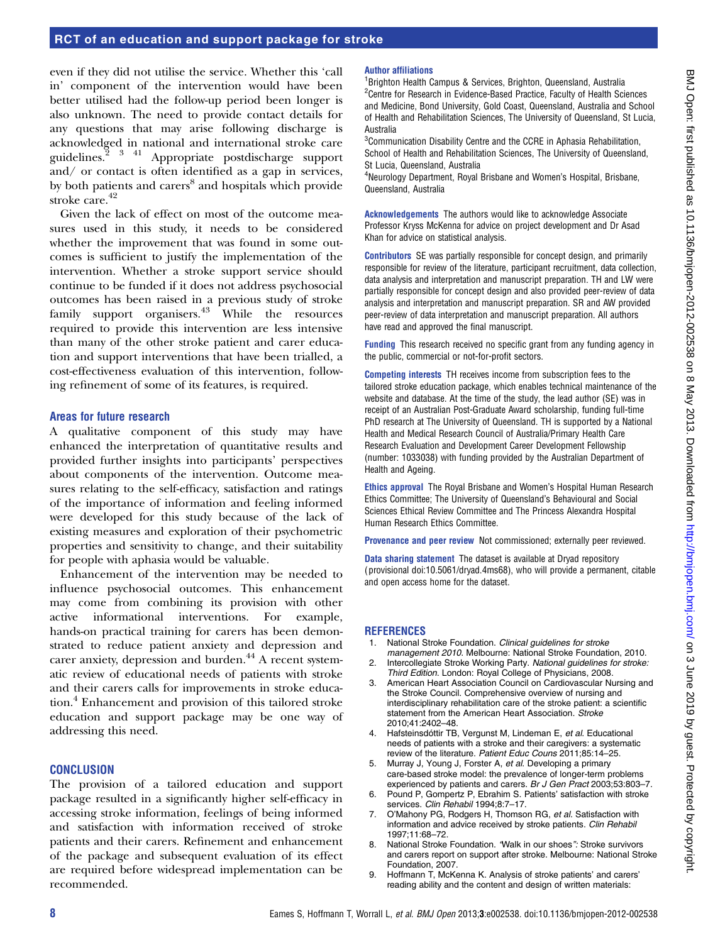# RCT of an education and support package for stroke

even if they did not utilise the service. Whether this 'call in' component of the intervention would have been better utilised had the follow-up period been longer is also unknown. The need to provide contact details for any questions that may arise following discharge is acknowledged in national and international stroke care guidelines. $2^{3}$ <sup>3</sup><sup>41</sup> Appropriate postdischarge support and/ or contact is often identified as a gap in services, by both patients and carers<sup>8</sup> and hospitals which provide stroke care.<sup>42</sup>

Given the lack of effect on most of the outcome measures used in this study, it needs to be considered whether the improvement that was found in some outcomes is sufficient to justify the implementation of the intervention. Whether a stroke support service should continue to be funded if it does not address psychosocial outcomes has been raised in a previous study of stroke family support organisers.<sup>43</sup> While the resources required to provide this intervention are less intensive than many of the other stroke patient and carer education and support interventions that have been trialled, a cost-effectiveness evaluation of this intervention, following refinement of some of its features, is required.

#### Areas for future research

A qualitative component of this study may have enhanced the interpretation of quantitative results and provided further insights into participants' perspectives about components of the intervention. Outcome measures relating to the self-efficacy, satisfaction and ratings of the importance of information and feeling informed were developed for this study because of the lack of existing measures and exploration of their psychometric properties and sensitivity to change, and their suitability for people with aphasia would be valuable.

Enhancement of the intervention may be needed to influence psychosocial outcomes. This enhancement may come from combining its provision with other active informational interventions. For example, hands-on practical training for carers has been demonstrated to reduce patient anxiety and depression and carer anxiety, depression and burden.<sup>44</sup> A recent systematic review of educational needs of patients with stroke and their carers calls for improvements in stroke education.<sup>4</sup> Enhancement and provision of this tailored stroke education and support package may be one way of addressing this need.

## **CONCLUSION**

The provision of a tailored education and support package resulted in a significantly higher self-efficacy in accessing stroke information, feelings of being informed and satisfaction with information received of stroke patients and their carers. Refinement and enhancement of the package and subsequent evaluation of its effect are required before widespread implementation can be recommended.

#### Author affiliations

<sup>1</sup> Brighton Health Campus & Services, Brighton, Queensland, Australia <sup>2</sup> Centre for Research in Evidence-Based Practice, Faculty of Health Sciences and Medicine, Bond University, Gold Coast, Queensland, Australia and School of Health and Rehabilitation Sciences, The University of Queensland, St Lucia, Australia

<sup>3</sup> Communication Disability Centre and the CCRE in Aphasia Rehabilitation, School of Health and Rehabilitation Sciences, The University of Queensland, St Lucia, Queensland, Australia

4 Neurology Department, Royal Brisbane and Women's Hospital, Brisbane, Queensland, Australia

Acknowledgements The authors would like to acknowledge Associate Professor Kryss McKenna for advice on project development and Dr Asad Khan for advice on statistical analysis.

Contributors SE was partially responsible for concept design, and primarily responsible for review of the literature, participant recruitment, data collection, data analysis and interpretation and manuscript preparation. TH and LW were partially responsible for concept design and also provided peer-review of data analysis and interpretation and manuscript preparation. SR and AW provided peer-review of data interpretation and manuscript preparation. All authors have read and approved the final manuscript.

Funding This research received no specific grant from any funding agency in the public, commercial or not-for-profit sectors.

Competing interests TH receives income from subscription fees to the tailored stroke education package, which enables technical maintenance of the website and database. At the time of the study, the lead author (SE) was in receipt of an Australian Post-Graduate Award scholarship, funding full-time PhD research at The University of Queensland. TH is supported by a National Health and Medical Research Council of Australia/Primary Health Care Research Evaluation and Development Career Development Fellowship (number: 1033038) with funding provided by the Australian Department of Health and Ageing.

Ethics approval The Royal Brisbane and Women's Hospital Human Research Ethics Committee; The University of Queensland's Behavioural and Social Sciences Ethical Review Committee and The Princess Alexandra Hospital Human Research Ethics Committee.

Provenance and peer review Not commissioned; externally peer reviewed.

Data sharing statement The dataset is available at Dryad repository ( provisional doi:10.5061/dryad.4ms68), who will provide a permanent, citable and open access home for the dataset.

#### **REFERENCES**

- 1. National Stroke Foundation. Clinical guidelines for stroke management 2010. Melbourne: National Stroke Foundation, 2010. 2. Intercollegiate Stroke Working Party. National guidelines for stroke:
- Third Edition. London: Royal College of Physicians, 2008.
- 3. American Heart Association Council on Cardiovascular Nursing and the Stroke Council. Comprehensive overview of nursing and interdisciplinary rehabilitation care of the stroke patient: a scientific statement from the American Heart Association. Stroke 2010;41:2402–48.
- 4. Hafsteinsdóttir TB, Vergunst M, Lindeman E, et al. Educational needs of patients with a stroke and their caregivers: a systematic review of the literature. Patient Educ Couns 2011;85:14–25.
- 5. Murray J, Young J, Forster A, et al. Developing a primary care-based stroke model: the prevalence of longer-term problems experienced by patients and carers. Br J Gen Pract 2003;53:803–7.
- 6. Pound P, Gompertz P, Ebrahim S. Patients' satisfaction with stroke services. Clin Rehabil 1994;8:7-17.
- 7. O'Mahony PG, Rodgers H, Thomson RG, et al. Satisfaction with information and advice received by stroke patients. Clin Rehabil 1997;11:68–72.
- 8. National Stroke Foundation. "Walk in our shoes": Stroke survivors and carers report on support after stroke. Melbourne: National Stroke Foundation, 2007.
- 9. Hoffmann T, McKenna K. Analysis of stroke patients' and carers' reading ability and the content and design of written materials: